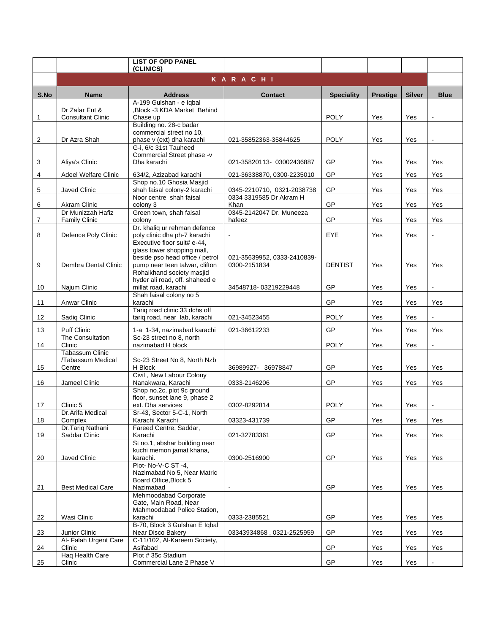|      |                                                       | <b>LIST OF OPD PANEL</b><br>(CLINICS)                                                                                          |                                             |                   |                 |               |                |
|------|-------------------------------------------------------|--------------------------------------------------------------------------------------------------------------------------------|---------------------------------------------|-------------------|-----------------|---------------|----------------|
|      |                                                       |                                                                                                                                | <b>KARACHI</b>                              |                   |                 |               |                |
| S.No | <b>Name</b>                                           | <b>Address</b>                                                                                                                 | <b>Contact</b>                              | <b>Speciality</b> | <b>Prestige</b> | <b>Silver</b> | <b>Blue</b>    |
| 1    | Dr Zafar Ent &<br><b>Consultant Clinic</b>            | A-199 Gulshan - e Iqbal<br>,Block -3 KDA Market Behind<br>Chase up                                                             |                                             | <b>POLY</b>       | Yes             | Yes           |                |
| 2    | Dr Azra Shah                                          | Building no. 28-c badar<br>commercial street no 10,<br>phase v (ext) dha karachi                                               | 021-35852363-35844625                       | <b>POLY</b>       | Yes             | Yes           |                |
| 3    | Aliya's Clinic                                        | G-i, 6/c 31st Tauheed<br>Commercial Street phase -v<br>Dha karachi                                                             | 021-35820113-03002436887                    | GP                | Yes             | Yes           | Yes            |
| 4    | <b>Adeel Welfare Clinic</b>                           | 634/2, Azizabad karachi                                                                                                        | 021-36338870, 0300-2235010                  | GP                | Yes             | Yes           | Yes            |
| 5    | Javed Clinic                                          | Shop no.10 Ghosia Masjid<br>shah faisal colony-2 karachi<br>Noor centre shah faisal                                            | 0345-2210710, 0321-2038738                  | GP                | Yes             | Yes           | Yes            |
| 6    | <b>Akram Clinic</b>                                   | colony 3                                                                                                                       | 0334 3319585 Dr Akram H<br>Khan             | GP                | Yes             | Yes           | Yes            |
| 7    | Dr Munizzah Hafiz<br><b>Family Clinic</b>             | Green town, shah faisal<br>colony                                                                                              | 0345-2142047 Dr. Muneeza<br>hafeez          | GP                | Yes             | Yes           | Yes            |
| 8    | Defence Poly Clinic                                   | Dr. khaliq ur rehman defence<br>poly clinic dha ph-7 karachi                                                                   | $\blacksquare$                              | EYE               | Yes             | Yes           |                |
| 9    | Dembra Dental Clinic                                  | Executive floor suit# e-44,<br>glass tower shopping mall,<br>beside pso head office / petrol<br>pump near teen talwar, clifton | 021-35639952, 0333-2410839-<br>0300-2151834 | <b>DENTIST</b>    | Yes             | Yes           | Yes            |
| 10   | Najum Clinic                                          | Rohaikhand society masjid<br>hyder ali road, off. shaheed e<br>millat road, karachi                                            | 34548718-03219229448                        | GP                | Yes             | Yes           | $\overline{a}$ |
| 11   | Anwar Clinic                                          | Shah faisal colony no 5<br>karachi                                                                                             |                                             | GP                | Yes             | Yes           | Yes            |
| 12   | Sadiq Clinic                                          | Tariq road clinic 33 dchs off<br>tariq road, near lab, karachi                                                                 | 021-34523455                                | <b>POLY</b>       | Yes             | Yes           |                |
| 13   | <b>Puff Clinic</b>                                    | 1-a 1-34, nazimabad karachi                                                                                                    | 021-36612233                                | GP                | Yes             | Yes           | Yes            |
| 14   | The Consultation<br>Clinic                            | Sc-23 street no 8, north<br>nazimabad H block                                                                                  |                                             | <b>POLY</b>       | Yes             | Yes           | $\overline{a}$ |
| 15   | <b>Tabassum Clinic</b><br>/Tabassum Medical<br>Centre | Sc-23 Street No 8, North Nzb<br>H Block                                                                                        | 36989927-36978847                           | GP                | Yes             | Yes           | Yes            |
| 16   | Jameel Clinic                                         | Civil, New Labour Colony<br>Nanakwara, Karachi                                                                                 | 0333-2146206                                | GP                | Yes             | Yes           | Yes            |
| 17   | Clinic 5                                              | Shop no.2c, plot 9c ground<br>floor, sunset lane 9, phase 2<br>ext. Dha services                                               | 0302-8292814                                | <b>POLY</b>       | Yes             | Yes           |                |
| 18   | Dr.Arifa Medical<br>Complex                           | Sr-43, Sector 5-C-1, North<br>Karachi Karachi                                                                                  | 03323-431739                                | GP                | Yes             | Yes           | Yes            |
|      | Dr.Tariq Nathani                                      | Fareed Centre, Saddar,                                                                                                         |                                             |                   |                 |               |                |
| 19   | Saddar Clinic                                         | Karachi<br>St no.1, abshar building near<br>kuchi memon jamat khana,                                                           | 021-32783361                                | GP                | Yes             | Yes           | Yes            |
| 20   | Javed Clinic                                          | karachi.<br>Plot-No-V-C ST-4,                                                                                                  | 0300-2516900                                | GP                | Yes             | Yes           | Yes            |
|      |                                                       | Nazimabad No 5, Near Matric<br>Board Office. Block 5                                                                           |                                             |                   |                 |               |                |
| 21   | <b>Best Medical Care</b>                              | Nazimabad<br>Mehmoodabad Corporate                                                                                             | $\overline{a}$                              | GP                | Yes             | Yes           | Yes            |
|      |                                                       | Gate, Main Road, Near<br>Mahmoodabad Police Station,                                                                           |                                             |                   |                 |               |                |
| 22   | Wasi Clinic                                           | karachi<br>B-70, Block 3 Gulshan E Iqbal                                                                                       | 0333-2385521                                | GP                | Yes             | Yes           | Yes            |
| 23   | Junior Clinic                                         | Near Disco Bakery                                                                                                              | 03343934868, 0321-2525959                   | GP                | Yes             | Yes           | Yes            |
| 24   | Al- Falah Urgent Care<br>Clinic                       | C-11/102, Al-Kareem Society,<br>Asifabad                                                                                       |                                             | GP                | Yes             | Yes           | Yes            |
| 25   | Haq Health Care<br>Clinic                             | Plot #35c Stadium<br>Commercial Lane 2 Phase V                                                                                 |                                             | <b>GP</b>         | Yes             | Yes           |                |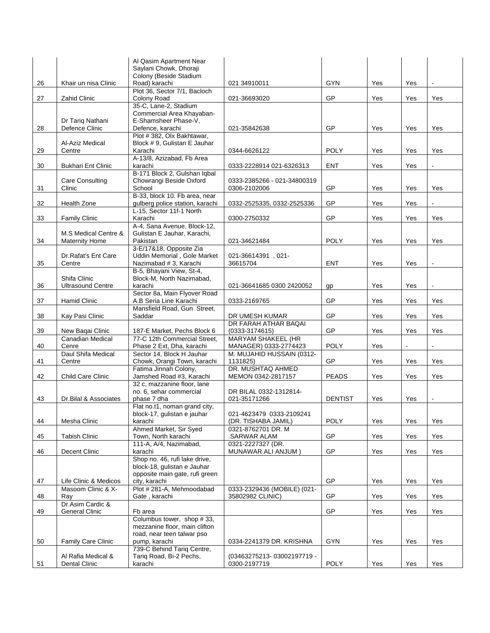|    |                                           | Al Qasim Apartment Near                                          |                                        |                |     |                |                      |
|----|-------------------------------------------|------------------------------------------------------------------|----------------------------------------|----------------|-----|----------------|----------------------|
|    |                                           | Saylani Chowk, Dhoraji<br>Colony (Beside Stadium                 |                                        |                |     |                |                      |
| 26 | Khair un nisa Clinic                      | Road) karachi                                                    | 021 34910011                           | GYN            | Yes | Yes            |                      |
|    |                                           | Plot 36, Sector 7/1, Bacloch                                     |                                        |                |     |                |                      |
| 27 | Zahid Clinic                              | Colony Road<br>35-C, Lane-2, Stadium                             | 021-36693020                           | GP             | Yes | Yes            | Yes                  |
|    |                                           | Commercial Area Khayaban-                                        |                                        |                |     |                |                      |
|    | Dr Tariq Nathani                          | E-Shamsheer Phase-V,                                             |                                        |                |     |                |                      |
| 28 | Defence Clinic                            | Defence, karachi<br>Plot #382, Olx Bakhtawar,                    | 021-35842638                           | GP             | Yes | Yes            | Yes                  |
|    | Al-Aziz Medical                           | Block #9, Gulistan E Jauhar                                      |                                        |                |     |                |                      |
| 29 | Centre                                    | Karachi                                                          | 0344-6626122                           | <b>POLY</b>    | Yes | Yes            | Yes                  |
| 30 |                                           | A-13/8, Azizabad, Fb Area<br>karachi                             | 0333-2228914 021-6326313               | <b>ENT</b>     | Yes | Yes            |                      |
|    | <b>Bukhari Ent Clinic</b>                 | B-171 Block 2, Gulshan Iqbal                                     |                                        |                |     |                |                      |
|    | Care Consulting                           | Chowrangi Beside Oxford                                          | 0333-2385266 - 021-34800319            |                |     |                |                      |
| 31 | Clinic                                    | School                                                           | 0306-2102006                           | <b>GP</b>      | Yes | Yes            | Yes                  |
| 32 | <b>Health Zone</b>                        | B-33, block 10. Fb area, near<br>gulberg police station, karachi | 0332-2525335, 0332-2525336             | GP             | Yes | Yes            |                      |
|    |                                           | L-15, Sector 11f-1 North                                         |                                        |                |     |                |                      |
| 33 | <b>Family Clinic</b>                      | Karachi                                                          | 0300-2750332                           | GP             | Yes | Yes            | Yes                  |
|    | M.S Medical Centre &                      | A-4, Sana Avenue, Block-12,                                      |                                        |                |     |                |                      |
| 34 | <b>Maternity Home</b>                     | Gulistan E Jauhar, Karachi,<br>Pakistan                          | 021-34621484                           | <b>POLY</b>    | Yes | Yes            | Yes                  |
|    |                                           | 3-E/17&18, Opposite Zia                                          |                                        |                |     |                |                      |
|    | Dr. Rafat's Ent Care                      | Uddin Memorial, Gole Market                                      | 021-36614391, 021-                     |                |     |                |                      |
| 35 | Centre                                    | Nazimabad # 3, Karachi<br>B-5, Bhayani View, St-4,               | 36615704                               | <b>ENT</b>     | Yes | Yes            |                      |
|    | Shifa Clinic                              | Block-M, North Nazimabad,                                        |                                        |                |     |                |                      |
| 36 | <b>Ultrasound Centre</b>                  | karachi                                                          | 021-36641685 0300 2420052              | gp             | Yes | Yes            |                      |
| 37 |                                           | Sector 8a, Main Flyover Road                                     |                                        | GP             | Yes |                | Yes                  |
|    | <b>Hamid Clinic</b>                       | A.B Seria Line Karachi<br>Mansfield Road, Gun Street,            | 0333-2169765                           |                |     | Yes            |                      |
| 38 | Kay Pasi Clinic                           | Saddar                                                           | DR UMESH KUMAR                         | GP             | Yes | Yes            | Yes                  |
|    |                                           |                                                                  | DR FARAH ATHAR BAQAI                   |                |     |                |                      |
| 39 | New Baqai Clinic<br>Canadian Medical      | 187-E Market, Pechs Block 6<br>77-C 12th Commercial Street,      | $(0333-3174615)$<br>MARYAM SHAKEEL (HR | GP             | Yes | Yes            | Yes                  |
| 40 | Cenre                                     | Phase 2 Ext, Dha, karachi                                        | MANAGER) 0333-2774423                  | <b>POLY</b>    | Yes | $\blacksquare$ | $\ddot{\phantom{a}}$ |
|    | Daul Shifa Medical                        | Sector 14, Block H Jauhar                                        | M. MUJAHID HUSSAIN (0312-              |                |     |                |                      |
| 41 | Centre                                    | Chowk, Orangi Town, karachi                                      | 1131825)<br>DR. MUSHTAQ AHMED          | GP             | Yes | Yes            | Yes                  |
| 42 | Child Care Clinic                         | Fatima Jinnah Colony,<br>Jamshed Road #3, Karachi                | MEMON 0342-2817157                     | <b>PEADS</b>   | Yes | Yes            | Yes                  |
|    |                                           | 32 c, mazzanine floor, lane                                      |                                        |                |     |                |                      |
|    |                                           | no. 6, sehar commercial                                          | DR BILAL 0332-1312814-                 |                |     |                |                      |
| 43 | Dr. Bilal & Associates                    | phase 7 dha<br>Flat no.t1, noman grand city,                     | 021-35171266                           | <b>DENTIST</b> | Yes | Yes            | $\blacksquare$       |
|    |                                           | block-17, gulistan e jauhar                                      | 021-4623479 0333-2109241               |                |     |                |                      |
| 44 | Mesha Clinic                              | karachi                                                          | (DR. TISHABA JAMIL)                    | <b>POLY</b>    | Yes | Yes            | Yes                  |
| 45 | <b>Tabish Clinic</b>                      | Ahmed Market, Sir Syed<br>Town, North karachi                    | 0321-8762701 DR. M                     | GP             | Yes |                |                      |
|    |                                           | 111-A, A/4, Nazimabad,                                           | .SARWAR ALAM<br>0321-2227327 (DR.      |                |     | Yes            | Yes                  |
| 46 | Decent Clinic                             | karachi                                                          | MUNAWAR ALI ANJUM)                     | GP             | Yes | Yes            | Yes                  |
|    |                                           | Shop no. 46, rufi lake drive,                                    |                                        |                |     |                |                      |
|    |                                           | block-18, gulistan e Jauhar<br>opposite main gate, rufi green    |                                        |                |     |                |                      |
| 47 | Life Clinic & Medicos                     | city, karachi                                                    |                                        | GP             | Yes | Yes            | Yes                  |
|    | Masoom Clinic & X-                        | Plot #281-A, Mehmoodabad                                         | 0333-2329436 (MOBILE) (021-            |                |     |                |                      |
| 48 | Ray                                       | Gate, karachi                                                    | 35802982 CLINIC)                       | GP             | Yes | Yes            | Yes                  |
| 49 | Dr.Asim Cardic &<br><b>General Clinic</b> | Fb area                                                          |                                        | <b>GP</b>      | Yes | Yes            | Yes                  |
|    |                                           | Columbus tower, shop #33,                                        |                                        |                |     |                |                      |
|    |                                           | mezzanine floor, main clifton                                    |                                        |                |     |                |                      |
|    | <b>Family Care Clinic</b>                 | road, near teen talwar pso                                       |                                        | GYN            | Yes | Yes            | Yes                  |
| 50 |                                           | pump, karachi<br>739-C Behind Tariq Centre,                      | 0334-2241379 DR. KRISHNA               |                |     |                |                      |
|    | Al Rafia Medical &                        | Tariq Road, Bi-2 Pechs,                                          | (03463275213-03002197719-              |                |     |                |                      |
| 51 | Dental Clinic                             | karachi                                                          | 0300-2197719                           | <b>POLY</b>    | Yes | Yes            | Yes                  |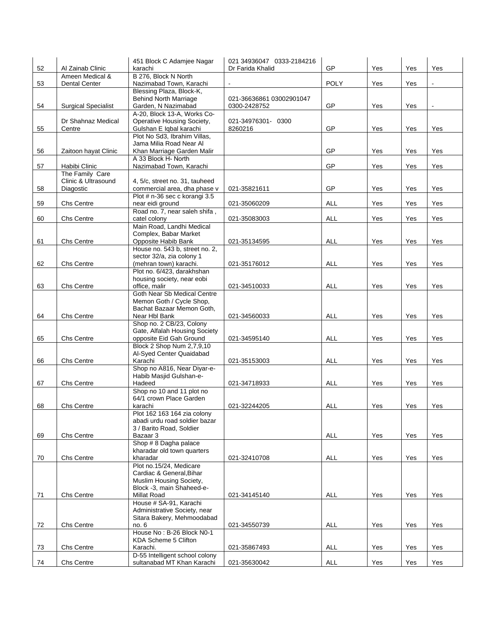|    |                            | 451 Block C Adamjee Nagar                                     | 021 34936047 0333-2184216 |             |     |     |                |
|----|----------------------------|---------------------------------------------------------------|---------------------------|-------------|-----|-----|----------------|
| 52 | Al Zainab Clinic           | karachi                                                       | Dr Farida Khalid          | GP          | Yes | Yes | Yes            |
|    | Ameen Medical &            | B 276, Block N North                                          |                           |             |     |     |                |
| 53 | <b>Dental Center</b>       | Nazimabad Town, Karachi<br>Blessing Plaza, Block-K,           | $\blacksquare$            | <b>POLY</b> | Yes | Yes |                |
|    |                            | <b>Behind North Marriage</b>                                  | 021-36636861 03002901047  |             |     |     |                |
| 54 | <b>Surgical Specialist</b> | Garden, N Nazimabad                                           | 0300-2428752              | GP          | Yes | Yes | $\blacksquare$ |
|    |                            | A-20, Block 13-A, Works Co-                                   |                           |             |     |     |                |
|    | Dr Shahnaz Medical         | Operative Housing Society,                                    | 021-34976301- 0300        |             |     |     |                |
| 55 | Centre                     | Gulshan E Iqbal karachi                                       | 8260216                   | GP          | Yes | Yes | Yes            |
|    |                            | Plot No Sd3, Ibrahim Villas,                                  |                           |             |     |     |                |
|    |                            | Jama Milia Road Near Al                                       |                           |             |     |     |                |
| 56 | Zaitoon hayat Clinic       | Khan Marriage Garden Malir<br>A 33 Block H <sub>'</sub> North |                           | GP          | Yes | Yes | Yes            |
| 57 | Habibi Clinic              | Nazimabad Town, Karachi                                       |                           | GP          | Yes | Yes | Yes            |
|    | The Family Care            |                                                               |                           |             |     |     |                |
|    | Clinic & Ultrasound        | 4, 5/c, street no. 31, tauheed                                |                           |             |     |     |                |
| 58 | Diagostic                  | commercial area, dha phase v                                  | 021-35821611              | GP          | Yes | Yes | Yes            |
|    |                            | Plot # n-36 sec c korangi 3.5                                 |                           |             |     |     |                |
| 59 | Chs Centre                 | near eidi ground                                              | 021-35060209              | ALL         | Yes | Yes | Yes            |
|    |                            | Road no. 7, near saleh shifa,                                 |                           |             |     |     |                |
| 60 | Chs Centre                 | catel colony<br>Main Road, Landhi Medical                     | 021-35083003              | ALL         | Yes | Yes | Yes            |
|    |                            | Complex, Babar Market                                         |                           |             |     |     |                |
| 61 | Chs Centre                 | Opposite Habib Bank                                           | 021-35134595              | ALL         | Yes | Yes | Yes            |
|    |                            | House no. 543 b, street no. 2,                                |                           |             |     |     |                |
|    |                            | sector 32/a, zia colony 1                                     |                           |             |     |     |                |
| 62 | Chs Centre                 | (mehran town) karachi.                                        | 021-35176012              | ALL         | Yes | Yes | Yes            |
|    |                            | Plot no. 6/423, darakhshan                                    |                           |             |     |     |                |
| 63 | Chs Centre                 | housing society, near eobi<br>office, malir                   | 021-34510033              | ALL         | Yes | Yes | Yes            |
|    |                            | Goth Near Sb Medical Centre                                   |                           |             |     |     |                |
|    |                            | Memon Goth / Cycle Shop,                                      |                           |             |     |     |                |
|    |                            | Bachat Bazaar Memon Goth,                                     |                           |             |     |     |                |
| 64 | Chs Centre                 | Near Hbl Bank                                                 | 021-34560033              | ALL         | Yes | Yes | Yes            |
|    |                            | Shop no. 2 CB/23, Colony                                      |                           |             |     |     |                |
|    |                            | Gate, Alfalah Housing Society                                 |                           |             |     |     |                |
| 65 | Chs Centre                 | opposite Eid Gah Ground<br>Block 2 Shop Num 2,7,9,10          | 021-34595140              | ALL         | Yes | Yes | Yes            |
|    |                            | Al-Syed Center Quaidabad                                      |                           |             |     |     |                |
| 66 | Chs Centre                 | Karachi                                                       | 021-35153003              | <b>ALL</b>  | Yes | Yes | Yes            |
|    |                            | Shop no A816, Near Diyar-e-                                   |                           |             |     |     |                |
|    |                            | Habib Masjid Gulshan-e-                                       |                           |             |     |     |                |
| 67 | Chs Centre                 | Hadeed                                                        | 021-34718933              | ALL         | Yes | Yes | Yes            |
|    |                            | Shop no 10 and 11 plot no<br>64/1 crown Place Garden          |                           |             |     |     |                |
| 68 | Chs Centre                 | karachi                                                       | 021-32244205              | <b>ALL</b>  | Yes | Yes | Yes            |
|    |                            | Plot 162 163 164 zia colony                                   |                           |             |     |     |                |
|    |                            | abadi urdu road soldier bazar                                 |                           |             |     |     |                |
|    |                            | 3 / Barito Road, Soldier                                      |                           |             |     |     |                |
| 69 | Chs Centre                 | Bazaar 3                                                      |                           | ALL         | Yes | Yes | Yes            |
|    |                            | Shop #8 Dagha palace                                          |                           |             |     |     |                |
|    |                            | kharadar old town quarters                                    |                           |             |     |     |                |
| 70 | Chs Centre                 | kharadar<br>Plot no.15/24, Medicare                           | 021-32410708              | <b>ALL</b>  | Yes | Yes | Yes            |
|    |                            | Cardiac & General, Bihar                                      |                           |             |     |     |                |
|    |                            | Muslim Housing Society,                                       |                           |             |     |     |                |
|    |                            | Block -3, main Shaheed-e-                                     |                           |             |     |     |                |
| 71 | Chs Centre                 | <b>Millat Road</b>                                            | 021-34145140              | <b>ALL</b>  | Yes | Yes | Yes            |
|    |                            | House # SA-91, Karachi                                        |                           |             |     |     |                |
|    |                            | Administrative Society, near                                  |                           |             |     |     |                |
| 72 | Chs Centre                 | Sitara Bakery, Mehmoodabad<br>no. 6                           | 021-34550739              | <b>ALL</b>  | Yes | Yes | Yes            |
|    |                            | House No: B-26 Block N0-1                                     |                           |             |     |     |                |
|    |                            | KDA Scheme 5 Clifton                                          |                           |             |     |     |                |
| 73 | Chs Centre                 | Karachi.                                                      | 021-35867493              | <b>ALL</b>  | Yes | Yes | Yes            |
|    |                            | D-55 Intelligent school colony                                |                           |             |     |     |                |
| 74 | Chs Centre                 | sultanabad MT Khan Karachi                                    | 021-35630042              | ALL         | Yes | Yes | Yes            |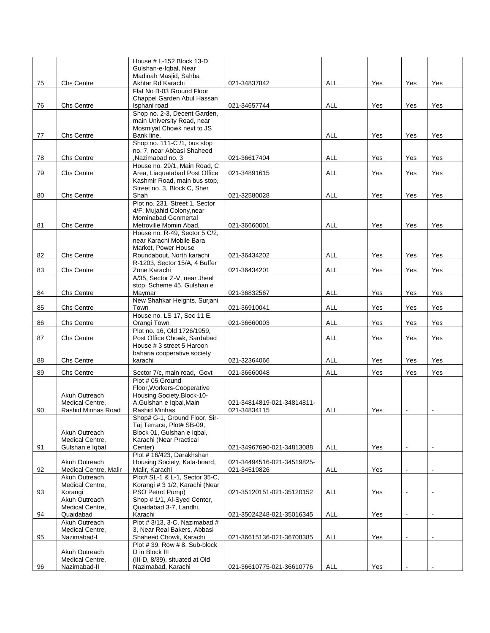|    |                                        | House # L-152 Block 13-D                                      |                                            |            |     |                |                |
|----|----------------------------------------|---------------------------------------------------------------|--------------------------------------------|------------|-----|----------------|----------------|
|    |                                        | Gulshan-e-Iqbal, Near<br>Madinah Masjid, Sahba                |                                            |            |     |                |                |
| 75 | Chs Centre                             | Akhtar Rd Karachi                                             | 021-34837842                               | ALL        | Yes | Yes            | Yes            |
|    |                                        | Flat No B-03 Ground Floor                                     |                                            |            |     |                |                |
| 76 | Chs Centre                             | Chappel Garden Abul Hassan<br>Isphani road                    | 021-34657744                               | ALL        | Yes | Yes            | Yes            |
|    |                                        | Shop no. 2-3, Decent Garden,                                  |                                            |            |     |                |                |
|    |                                        | main University Road, near                                    |                                            |            |     |                |                |
|    |                                        | Mosmiyat Chowk next to JS<br>Bank line.                       |                                            |            |     |                |                |
| 77 | Chs Centre                             | Shop no. 111-C /1, bus stop                                   |                                            | <b>ALL</b> | Yes | Yes            | Yes            |
|    |                                        | no. 7, near Abbasi Shaheed                                    |                                            |            |     |                |                |
| 78 | Chs Centre                             | Nazimabad no. 3                                               | 021-36617404                               | ALL        | Yes | Yes            | Yes            |
| 79 | Chs Centre                             | House no. 29/1, Main Road, C<br>Area, Liaquatabad Post Office | 021-34891615                               | ALL        | Yes | Yes            | Yes            |
|    |                                        | Kashmir Road, main bus stop,                                  |                                            |            |     |                |                |
|    |                                        | Street no. 3, Block C, Sher                                   |                                            |            |     |                |                |
| 80 | Chs Centre                             | Shah<br>Plot no. 231, Street 1, Sector                        | 021-32580028                               | ALL        | Yes | Yes            | Yes            |
|    |                                        | 4/F, Mujahid Colony, near                                     |                                            |            |     |                |                |
|    |                                        | <b>Mominabad Genmertal</b>                                    |                                            |            |     |                |                |
| 81 | Chs Centre                             | Metroville Momin Abad,<br>House no. R-49, Sector 5 C/2.       | 021-36660001                               | ALL        | Yes | Yes            | Yes            |
|    |                                        | near Karachi Mobile Bara                                      |                                            |            |     |                |                |
|    |                                        | Market, Power House                                           |                                            |            |     |                |                |
| 82 | Chs Centre                             | Roundabout, North karachi<br>R-1203, Sector 15/A, 4 Buffer    | 021-36434202                               | ALL        | Yes | Yes            | Yes            |
| 83 | Chs Centre                             | Zone Karachi                                                  | 021-36434201                               | <b>ALL</b> | Yes | Yes            | Yes            |
|    |                                        | A/35, Sector Z-V, near Jheel                                  |                                            |            |     |                |                |
| 84 | Chs Centre                             | stop, Scheme 45, Gulshan e<br>Maymar                          | 021-36832567                               | ALL        | Yes | Yes            | Yes            |
|    |                                        | New Shahkar Heights, Surjani                                  |                                            |            |     |                |                |
| 85 | Chs Centre                             | Town                                                          | 021-36910041                               | ALL        | Yes | Yes            | Yes            |
| 86 | Chs Centre                             | House no. LS 17, Sec 11 E,<br>Orangi Town                     | 021-36660003                               | <b>ALL</b> | Yes | Yes            | Yes            |
|    |                                        | Plot no. 16, Old 1726/1959,                                   |                                            |            |     |                |                |
| 87 | <b>Chs Centre</b>                      | Post Office Chowk, Sardabad                                   |                                            | ALL        | Yes | Yes            | Yes            |
|    |                                        | House # 3 street 5 Haroon                                     |                                            |            |     |                |                |
| 88 | Chs Centre                             | baharia cooperative society<br>karachi                        | 021-32364066                               | <b>ALL</b> | Yes | Yes            | Yes            |
| 89 | Chs Centre                             |                                                               | 021-36660048                               | <b>ALL</b> | Yes | Yes            | Yes            |
|    |                                        | Sector 7/c, main road, Govt<br>Plot # 05, Ground              |                                            |            |     |                |                |
|    |                                        | Floor, Workers-Cooperative                                    |                                            |            |     |                |                |
|    | Akuh Outreach                          | Housing Society, Block-10-                                    |                                            |            |     |                |                |
| 90 | Medical Centre,<br>Rashid Minhas Road  | A, Gulshan e Iqbal, Main<br><b>Rashid Minhas</b>              | 021-34814819-021-34814811-<br>021-34834115 | ALL        | Yes |                |                |
|    |                                        | Shop# G-1, Ground Floor, Sir-                                 |                                            |            |     |                |                |
|    |                                        | Taj Terrace, Plot# SB-09,<br>Block 01, Gulshan e Igbal,       |                                            |            |     |                |                |
|    | Akuh Outreach<br>Medical Centre,       | Karachi (Near Practical                                       |                                            |            |     |                |                |
| 91 | Gulshan e Iqbal                        | Center)                                                       | 021-34967690-021-34813088                  | <b>ALL</b> | Yes | $\blacksquare$ | $\blacksquare$ |
|    |                                        | Plot #16/423, Darakhshan                                      |                                            |            |     |                |                |
| 92 | Akuh Outreach<br>Medical Centre, Malir | Housing Society, Kala-board,<br>Malir, Karachi                | 021-34494516-021-34519825-<br>021-34519826 | <b>ALL</b> | Yes | $\blacksquare$ | L.             |
|    | Akuh Outreach                          | Plot# SL-1 & L-1, Sector 35-C,                                |                                            |            |     |                |                |
|    | Medical Centre,                        | Korangi # 3 1/2, Karachi (Near                                |                                            |            |     |                |                |
| 93 | Korangi<br>Akuh Outreach               | PSO Petrol Pump)<br>Shop # 1/1, Al-Syed Center,               | 021-35120151-021-35120152                  | ALL        | Yes |                |                |
|    | Medical Centre,                        | Quaidabad 3-7, Landhi,                                        |                                            |            |     |                |                |
| 94 | Quaidabad                              | Karachi                                                       | 021-35024248-021-35016345                  | <b>ALL</b> | Yes | $\blacksquare$ | $\blacksquare$ |
|    | Akuh Outreach<br>Medical Centre,       | Plot #3/13, 3-C, Nazimabad #<br>3, Near Real Bakers, Abbasi   |                                            |            |     |                |                |
| 95 | Nazimabad-I                            | Shaheed Chowk, Karachi                                        | 021-36615136-021-36708385                  | <b>ALL</b> | Yes |                |                |
|    |                                        | Plot #39, Row #8, Sub-block                                   |                                            |            |     |                |                |
|    | Akuh Outreach<br>Medical Centre,       | D in Block III<br>(III-D, 8/39), situated at Old              |                                            |            |     |                |                |
| 96 | Nazimabad-II                           | Nazimabad, Karachi                                            | 021-36610775-021-36610776                  | <b>ALL</b> | Yes |                |                |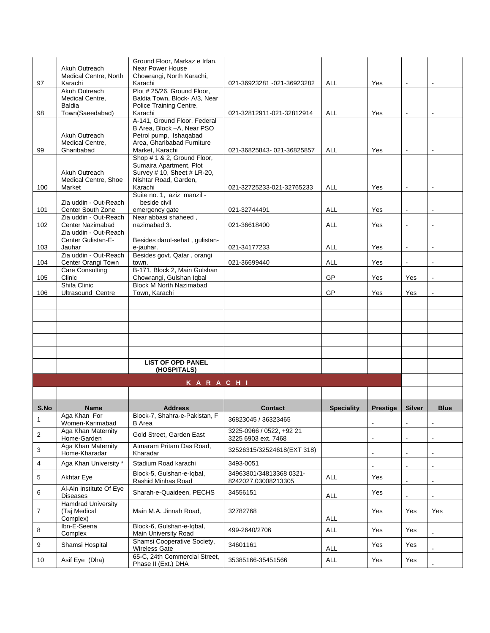|      | Akuh Outreach                                    | Ground Floor, Markaz e Irfan.<br>Near Power House                                    |                                                   |                   |                 |                |                          |
|------|--------------------------------------------------|--------------------------------------------------------------------------------------|---------------------------------------------------|-------------------|-----------------|----------------|--------------------------|
| 97   | Medical Centre, North<br>Karachi                 | Chowrangi, North Karachi,<br>Karachi                                                 | 021-36923281 -021-36923282                        | ALL               | Yes             | $\blacksquare$ | $\blacksquare$           |
|      | Akuh Outreach                                    | Plot #25/26, Ground Floor,                                                           |                                                   |                   |                 |                |                          |
|      | Medical Centre,<br><b>Baldia</b>                 | Baldia Town, Block- A/3, Near<br>Police Training Centre,                             |                                                   |                   |                 |                |                          |
| 98   | Town(Saeedabad)                                  | Karachi                                                                              | 021-32812911-021-32812914                         | <b>ALL</b>        | Yes             |                |                          |
|      |                                                  | A-141, Ground Floor, Federal<br>B Area, Block -A, Near PSO                           |                                                   |                   |                 |                |                          |
|      | Akuh Outreach                                    | Petrol pump, Ishaqabad                                                               |                                                   |                   |                 |                |                          |
| 99   | Medical Centre.<br>Gharibabad                    | Area, Gharibabad Furniture<br>Market, Karachi                                        | 021-36825843-021-36825857                         | ALL               | Yes             | $\blacksquare$ |                          |
|      |                                                  | Shop # 1 & 2, Ground Floor,<br>Sumaira Apartment, Plot                               |                                                   |                   |                 |                |                          |
|      | Akuh Outreach                                    | Survey # 10, Sheet # LR-20,                                                          |                                                   |                   |                 |                |                          |
| 100  | <b>Medical Centre, Shoe</b><br>Market            | Nishtar Road, Garden,<br>Karachi                                                     |                                                   | <b>ALL</b>        | Yes             | $\blacksquare$ | $\overline{\phantom{a}}$ |
|      |                                                  | Suite no. 1, aziz manzil -                                                           | 021-32725233-021-32765233                         |                   |                 |                |                          |
| 101  | Zia uddin - Out-Reach<br>Center South Zone       | beside civil<br>emergency gate                                                       | 021-32744491                                      | <b>ALL</b>        | Yes             |                |                          |
|      | Zia uddin - Out-Reach                            | Near abbasi shaheed,                                                                 |                                                   |                   |                 |                |                          |
| 102  | <b>Center Nazimabad</b><br>Zia uddin - Out-Reach | nazimabad 3.                                                                         | 021-36618400                                      | ALL               | Yes             |                |                          |
|      | Center Gulistan-E-                               | Besides darul-sehat, gulistan-                                                       |                                                   |                   |                 |                |                          |
| 103  | Jauhar<br>Zia uddin - Out-Reach                  | e-jauhar.<br>Besides govt. Qatar, orangi                                             | 021-34177233                                      | <b>ALL</b>        | Yes             |                |                          |
| 104  | Center Orangi Town                               | town.                                                                                | 021-36699440                                      | ALL               | Yes             |                |                          |
| 105  | Care Consulting<br>Clinic                        | B-171, Block 2, Main Gulshan<br>Chowrangi, Gulshan Iqbal                             |                                                   | GP                | Yes             | Yes            | $\blacksquare$           |
|      | Shifa Clinic                                     | <b>Block M North Nazimabad</b>                                                       |                                                   |                   |                 |                |                          |
| 106  | <b>Ultrasound Centre</b>                         | Town, Karachi                                                                        |                                                   | GP                | Yes             | Yes            |                          |
|      |                                                  |                                                                                      |                                                   |                   |                 |                |                          |
|      |                                                  |                                                                                      |                                                   |                   |                 |                |                          |
|      |                                                  |                                                                                      |                                                   |                   |                 |                |                          |
|      |                                                  |                                                                                      |                                                   |                   |                 |                |                          |
|      |                                                  |                                                                                      |                                                   |                   |                 |                |                          |
|      |                                                  | <b>LIST OF OPD PANEL</b><br>(HOSPITALS)                                              |                                                   |                   |                 |                |                          |
|      |                                                  | KARACHI                                                                              |                                                   |                   |                 |                |                          |
|      |                                                  |                                                                                      |                                                   |                   |                 |                |                          |
| S.No | Name                                             | <b>Address</b>                                                                       | <b>Contact</b>                                    | <b>Speciality</b> | <b>Prestige</b> | <b>Silver</b>  | <b>Blue</b>              |
| 1    | Aga Khan For<br>Women-Karimabad                  | Block-7, Shahra-e-Pakistan, F<br>B Area                                              | 36823045 / 36323465                               |                   |                 | $\blacksquare$ | $\overline{\phantom{a}}$ |
| 2    | Aga Khan Maternity                               | Gold Street, Garden East                                                             | 3225-0966 / 0522, +92 21                          |                   |                 |                |                          |
| 3    | Home-Garden<br>Aga Khan Maternity                | Atmaram Pritam Das Road,                                                             | 3225 6903 ext. 7468<br>32526315/32524618(EXT 318) |                   |                 |                |                          |
| 4    | Home-Kharadar<br>Aga Khan University *           | Kharadar<br>Stadium Road karachi                                                     | 3493-0051                                         |                   |                 |                |                          |
| 5    | <b>Akhtar Eye</b>                                | Block-5, Gulshan-e-Iqbal,                                                            | 34963801/34813368 0321-                           | <b>ALL</b>        | Yes             |                |                          |
| 6    | Al-Ain Institute Of Eye                          | Rashid Minhas Road<br>Sharah-e-Quaideen, PECHS                                       | 8242027,03008213305<br>34556151                   |                   | Yes             | $\blacksquare$ | $\overline{\phantom{a}}$ |
|      | <b>Diseases</b><br><b>Hamdrad University</b>     |                                                                                      |                                                   | <b>ALL</b>        |                 |                |                          |
| 7    | (Taj Medical                                     | Main M.A. Jinnah Road,                                                               | 32782768                                          |                   | Yes             | Yes            | Yes                      |
|      | Complex)<br>Ibn-E-Seena                          | Block-6, Gulshan-e-Iqbal,                                                            |                                                   | <b>ALL</b>        |                 |                |                          |
| 8    |                                                  | Main University Road                                                                 | 499-2640/2706                                     | <b>ALL</b>        | Yes             | Yes            |                          |
|      | Complex                                          |                                                                                      |                                                   |                   |                 |                |                          |
| 9    | Shamsi Hospital                                  | Shamsi Cooperative Society,<br><b>Wireless Gate</b><br>65-C, 24th Commercial Street, | 34601161                                          | ALL               | Yes             | Yes            |                          |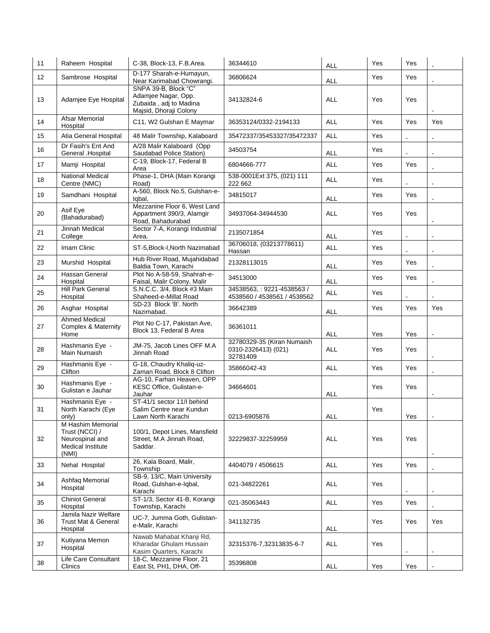| 11 | Raheem Hospital                                                                      | C-38, Block-13, F.B.Area.                                                                       | 36344610                                                      | ALL        | Yes | Yes                      |                |
|----|--------------------------------------------------------------------------------------|-------------------------------------------------------------------------------------------------|---------------------------------------------------------------|------------|-----|--------------------------|----------------|
| 12 | Sambrose Hospital                                                                    | D-177 Sharah-e-Humayun,<br>Near Karimabad Chowrangi.                                            | 36806624                                                      | ALL        | Yes | Yes                      |                |
| 13 | Adamjee Eye Hospital                                                                 | SNPA 39-B, Block "C"<br>Adamjee Nagar, Opp.<br>Zubaida, adj to Madina<br>Majsid, Dhoraji Colony | 34132824-6                                                    | ALL        | Yes | Yes                      |                |
| 14 | <b>Afsar Memorial</b><br>Hospital                                                    | C11, W2 Gulshan E Maymar                                                                        | 36353124/0332-2194133                                         | <b>ALL</b> | Yes | Yes                      | Yes            |
| 15 | Atia General Hospital                                                                | 48 Malir Township, Kalaboard                                                                    | 35472337/35453327/35472337                                    | ALL        | Yes |                          |                |
| 16 | Dr Fasih's Ent And<br>General .Hospital                                              | A/28 Malir Kalaboard (Opp<br>Saudabad Police Station)                                           | 34503754                                                      | ALL        | Yes |                          |                |
| 17 | Mamji Hospital                                                                       | C-19, Block-17, Federal B<br>Area                                                               | 6804666-777                                                   | <b>ALL</b> | Yes | Yes                      |                |
| 18 | <b>National Medical</b><br>Centre (NMC)                                              | Phase-1, DHA (Main Korangi<br>Road)                                                             | 538-0001Ext 375, (021) 111<br>222 662                         | <b>ALL</b> | Yes |                          |                |
| 19 | Samdhani Hospital                                                                    | A-560, Block No.5, Gulshan-e-<br>Igbal,                                                         | 34815017                                                      | ALL        | Yes | Yes                      |                |
| 20 | Asif Eye<br>(Bahadurabad)                                                            | Mezzanine Floor 6, West Land<br>Appartment 390/3, Alamgir<br>Road, Bahadurabad                  | 34937064-34944530                                             | ALL        | Yes | Yes                      |                |
| 21 | Jinnah Medical<br>College                                                            | Sector 7-A, Korangi Industrial<br>Area.                                                         | 2135071854                                                    | <b>ALL</b> | Yes |                          |                |
| 22 | Imam Clinic                                                                          | ST-5, Block-I, North Nazimabad                                                                  | 36706018, (03213778611)<br>Hassan                             | <b>ALL</b> | Yes | $\blacksquare$           |                |
| 23 | Murshid Hospital                                                                     | Hub River Road, Mujahidabad<br>Baldia Town, Karachi                                             | 21328113015                                                   | <b>ALL</b> | Yes | Yes                      |                |
| 24 | <b>Hassan General</b><br>Hospital                                                    | Plot No A-58-59, Shahrah-e-<br>Faisal, Malir Colony, Malir                                      | 34513000                                                      | <b>ALL</b> | Yes | Yes                      |                |
| 25 | <b>Hill Park General</b><br>Hospital                                                 | S.N.C.C. 3/4, Block #3 Main<br>Shaheed-e-Millat Road                                            | 34538563, : 9221-4538563 /<br>4538560 / 4538561 / 4538562     | <b>ALL</b> | Yes |                          |                |
| 26 | Asghar Hospital                                                                      | SD-23 Block 'B'. North<br>Nazimabad.                                                            | 36642389                                                      | ALL        | Yes | Yes                      | Yes            |
| 27 | <b>Ahmed Medical</b><br><b>Complex &amp; Maternity</b><br>Home                       | Plot No C-17, Pakistan Ave,<br>Block 13, Federal B Area                                         | 36361011                                                      | <b>ALL</b> | Yes | Yes                      | $\overline{a}$ |
| 28 | Hashmanis Eye -<br>Main Numaish                                                      | JM-75, Jacob Lines OFF M.A<br>Jinnah Road                                                       | 32780329-35 (Kiran Numaish<br>0310-2326413) (021)<br>32781409 | ALL        | Yes | Yes                      |                |
| 29 | Hashmanis Eye -<br>Clifton                                                           | G-18, Chaudry Khaliq-uz-<br>Zaman Road, Block 8 Clifton                                         | 35866042-43                                                   | ALL        | Yes | Yes                      |                |
| 30 | Hashmanis Eye -<br>Gulistan e Jauhar                                                 | AG-10, Farhan Heaven, OPP<br>KESC Office, Gulistan-e-<br>Jauhar                                 | 34664601                                                      | <b>ALL</b> | Yes | Yes                      |                |
| 31 | Hashmanis Eye -<br>North Karachi (Eye<br>only)                                       | ST-41/1 sector 11/l behind<br>Salim Centre near Kundun<br>Lawn North Karachi                    | 0213-6905876                                                  | <b>ALL</b> | Yes | Yes                      |                |
| 32 | M Hashim Memorial<br>Trust (NCCI) /<br>Neurospinal and<br>Medical Institute<br>(NMI) | 100/1, Depot Lines, Mansfield<br>Street. M.A Jinnah Road.<br>Saddar.                            | 32229837-32259959                                             | <b>ALL</b> | Yes | Yes                      | $\blacksquare$ |
| 33 | Nehal Hospital                                                                       | 26, Kala Board, Malir,<br>Township                                                              | 4404079 / 4506615                                             | <b>ALL</b> | Yes | Yes                      |                |
| 34 | Ashfaq Memorial<br>Hospital                                                          | SB-9, 13/C, Main University<br>Road, Gulshan-e-Iqbal,<br>Karachi                                | 021-34822261                                                  | <b>ALL</b> | Yes | $\blacksquare$           | $\blacksquare$ |
| 35 | <b>Chiniot General</b><br>Hospital                                                   | ST-1/3, Sector 41-B, Korangi<br>Township, Karachi                                               | 021-35063443                                                  | ALL        | Yes | Yes                      |                |
| 36 | Jamila Nazir Welfare<br>Trust Mat & General<br>Hospital                              | UC-7, Jumma Goth, Gulistan-<br>e-Malir, Karachi                                                 | 341132735                                                     | <b>ALL</b> | Yes | Yes                      | Yes            |
| 37 | Kutiyana Memon<br>Hospital                                                           | Nawab Mahabat Khanji Rd,<br>Kharadar Ghulam Hussain<br>Kasim Quarters, Karachi                  | 32315376-7,32313835-6-7                                       | ALL        | Yes | $\overline{\phantom{a}}$ |                |
| 38 | Life Care Consultant<br>Clinics                                                      | 18-C, Mezzanine Floor, 21<br>East St, PH1, DHA, Off-                                            | 35396808                                                      | ALL        | Yes | Yes                      |                |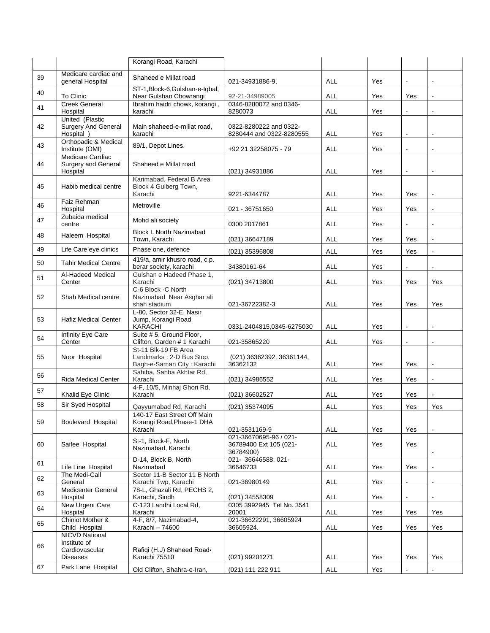|    |                                                            | Korangi Road, Karachi                                                          |                                                               |            |     |                |                          |
|----|------------------------------------------------------------|--------------------------------------------------------------------------------|---------------------------------------------------------------|------------|-----|----------------|--------------------------|
| 39 | Medicare cardiac and                                       | Shaheed e Millat road                                                          |                                                               |            |     |                |                          |
|    | general Hospital                                           |                                                                                | 021-34931886-9,                                               | ALL        | Yes | $\Box$         | L,                       |
| 40 | To Clinic                                                  | ST-1, Block-6, Gulshan-e-Iqbal,<br>Near Gulshan Chowrangi                      | 92-21-34989005                                                | ALL        | Yes | Yes            | $\mathbf{r}$             |
| 41 | <b>Creek General</b><br>Hospital                           | Ibrahim haidri chowk, korangi,<br>karachi                                      | 0346-8280072 and 0346-<br>8280073                             | ALL        | Yes | $\blacksquare$ | $\overline{a}$           |
|    | United (Plastic                                            |                                                                                |                                                               |            |     |                |                          |
| 42 | <b>Surgery And General</b><br>Hospital )                   | Main shaheed-e-millat road,<br>karachi                                         | 0322-8280222 and 0322-<br>8280444 and 0322-8280555            | <b>ALL</b> | Yes | $\Box$         | $\overline{a}$           |
| 43 | Orthopadic & Medical<br>Institute (OMI)                    | 89/1, Depot Lines.                                                             | +92 21 32258075 - 79                                          | ALL        | Yes | $\blacksquare$ | $\blacksquare$           |
| 44 | Medicare Cardiac<br><b>Surgery and General</b><br>Hospital | Shaheed e Millat road                                                          | (021) 34931886                                                | ALL        | Yes | $\mathbf{r}$   | $\tilde{\phantom{a}}$    |
| 45 | Habib medical centre                                       | Karimabad, Federal B Area<br>Block 4 Gulberg Town,<br>Karachi                  | 9221-6344787                                                  | ALL        | Yes | Yes            | $\overline{a}$           |
| 46 | Faiz Rehman<br>Hospital                                    | Metroville                                                                     | 021 - 36751650                                                | <b>ALL</b> | Yes | Yes            |                          |
| 47 | Zubaida medical<br>centre                                  | Mohd ali society                                                               | 0300 2017861                                                  | ALL        | Yes | $\blacksquare$ | $\overline{a}$           |
| 48 | Haleem Hospital                                            | <b>Block L North Nazimabad</b><br>Town. Karachi                                | (021) 36647189                                                | <b>ALL</b> | Yes | Yes            | L,                       |
| 49 | Life Care eye clinics                                      | Phase one, defence                                                             | (021) 35396808                                                | ALL        | Yes | Yes            | L,                       |
| 50 | <b>Tahir Medical Centre</b>                                | 419/a, amir khusro road, c.p.<br>berar society, karachi                        | 34380161-64                                                   | <b>ALL</b> | Yes |                | $\overline{\phantom{a}}$ |
| 51 | Al-Hadeed Medical<br>Center                                | Gulshan e Hadeed Phase 1,<br>Karachi                                           | (021) 34713800                                                | ALL        | Yes | Yes            | Yes                      |
| 52 | Shah Medical centre                                        | C-6 Block -C North<br>Nazimabad Near Asghar ali<br>shah stadium                | 021-36722382-3                                                | ALL        | Yes | Yes            | Yes                      |
| 53 | <b>Hafiz Medical Center</b>                                | L-80, Sector 32-E, Nasir<br>Jump, Korangi Road<br><b>KARACHI</b>               | 0331-2404815,0345-6275030                                     | ALL        | Yes | $\blacksquare$ | ä,                       |
| 54 | Infinity Eye Care<br>Center                                | Suite # 5, Ground Floor,<br>Clifton, Garden # 1 Karachi                        | 021-35865220                                                  | ALL        | Yes | $\overline{a}$ | ÷.                       |
| 55 | Noor Hospital                                              | St-11 Blk-19 FB Area<br>Landmarks: 2-D Bus Stop,<br>Bagh-e-Saman City: Karachi | (021) 36362392, 36361144,<br>36362132                         | <b>ALL</b> | Yes | Yes            | $\overline{a}$           |
| 56 | <b>Rida Medical Center</b>                                 | Sahiba, Sahba Akhtar Rd,<br>Karachi                                            | (021) 34986552                                                | ALL        | Yes | Yes            | $\blacksquare$           |
| 57 | Khalid Eye Clinic                                          | 4-F, 10/5, Minhaj Ghori Rd,<br>Karachi                                         | (021) 36602527                                                | ALL        | Yes | Yes            | $\overline{a}$           |
| 58 | Sir Syed Hospital                                          | Qayyumabad Rd, Karachi                                                         | (021) 35374095                                                | ALL        | Yes | Yes            | Yes                      |
|    |                                                            | 140-17 East Street Off Main                                                    |                                                               |            |     |                |                          |
| 59 | <b>Boulevard Hospital</b>                                  | Korangi Road, Phase-1 DHA<br>Karachi                                           | 021-3531169-9                                                 | <b>ALL</b> | Yes | Yes            |                          |
| 60 | Saifee Hospital                                            | St-1, Block-F, North<br>Nazimabad, Karachi                                     | 021-36670695-96 / 021-<br>36789400 Ext 105 (021-<br>36784900) | <b>ALL</b> | Yes | Yes            | $\blacksquare$           |
| 61 | Life Line Hospital                                         | D-14, Block B, North<br>Nazimabad                                              | 021-36646588, 021-<br>36646733                                | ALL        | Yes | Yes            |                          |
| 62 | The Medi-Call<br>General                                   | Sector 11-B Sector 11 B North<br>Karachi Twp, Karachi                          | 021-36980149                                                  | ALL        | Yes |                |                          |
| 63 | <b>Medicenter General</b><br>Hospital                      | 78-L, Ghazali Rd, PECHS 2,<br>Karachi, Sindh                                   | (021) 34558309                                                | ALL        | Yes | $\overline{a}$ | $\overline{\phantom{a}}$ |
| 64 | New Urgent Care<br>Hospital                                | C-123 Landhi Local Rd.<br>Karachi                                              | 0305 3992945 Tel No. 3541<br>20001                            | <b>ALL</b> | Yes | Yes            | Yes                      |
| 65 | Chiniot Mother &<br>Child Hospital                         | 4-F, 8/7, Nazimabad-4,<br>Karachi - 74600                                      | 021-36622291, 36605924<br>36605924.                           | ALL        | Yes | Yes            | Yes                      |
| 66 | <b>NICVD National</b><br>Institute of<br>Cardiovascular    | Rafiqi (H.J) Shaheed Road‹                                                     |                                                               |            |     |                |                          |
|    | Diseases                                                   | Karachi 75510                                                                  | (021) 99201271                                                | <b>ALL</b> | Yes | Yes            | Yes                      |
| 67 | Park Lane Hospital                                         | Old Clifton, Shahra-e-Iran,                                                    | (021) 111 222 911                                             | ALL        | Yes | $\blacksquare$ | $\blacksquare$           |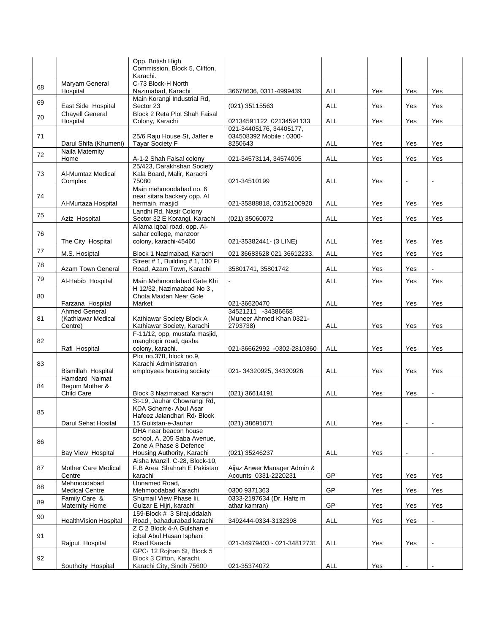|    |                                                       | Opp. British High<br>Commission, Block 5, Clifton,<br>Karachi.                                            |                                                               |            |     |                |                |
|----|-------------------------------------------------------|-----------------------------------------------------------------------------------------------------------|---------------------------------------------------------------|------------|-----|----------------|----------------|
| 68 | Maryam General<br>Hospital                            | C-73 Block-H North<br>Nazimabad, Karachi                                                                  | 36678636, 0311-4999439                                        | ALL        | Yes | Yes            | Yes            |
| 69 | East Side Hospital                                    | Main Korangi Industrial Rd,<br>Sector 23                                                                  | (021) 35115563                                                | <b>ALL</b> | Yes | Yes            | Yes            |
| 70 | <b>Chayell General</b><br>Hospital                    | Block 2 Reta Plot Shah Faisal<br>Colony, Karachi                                                          | 02134591122 02134591133                                       | <b>ALL</b> | Yes | Yes            | Yes            |
| 71 | Darul Shifa (Khumeni)                                 | 25/6 Raju House St. Jaffer e<br><b>Tayar Society F</b>                                                    | 021-34405176, 34405177,<br>034508392 Mobile: 0300-<br>8250643 | <b>ALL</b> | Yes | Yes            | Yes            |
| 72 | Naila Maternity<br>Home                               | A-1-2 Shah Faisal colony                                                                                  | 021-34573114, 34574005                                        | ALL        | Yes | Yes            | Yes            |
| 73 | Al-Mumtaz Medical<br>Complex                          | 25/423, Darakhshan Society<br>Kala Board, Malir, Karachi<br>75080                                         | 021-34510199                                                  | ALL        | Yes | $\blacksquare$ | $\blacksquare$ |
| 74 | Al-Murtaza Hospital                                   | Main mehmoodabad no. 6<br>near sitara backery opp. Al<br>hermain, masjid                                  | 021-35888818, 03152100920                                     | ALL        | Yes | Yes            | Yes            |
| 75 | Aziz Hospital                                         | Landhi Rd, Nasir Colony<br>Sector 32 E Korangi, Karachi                                                   | (021) 35060072                                                | <b>ALL</b> | Yes | Yes            | Yes            |
| 76 |                                                       | Allama iqbal road, opp. Al-<br>sahar college, manzoor                                                     |                                                               |            |     |                |                |
|    | The City Hospital                                     | colony, karachi-45460                                                                                     | 021-35382441- (3 LINE)                                        | ALL        | Yes | Yes            | Yes            |
| 77 | M.S. Hosiptal                                         | Block 1 Nazimabad, Karachi<br>Street # 1, Building # 1, 100 Ft                                            | 021 36683628 021 36612233.                                    | <b>ALL</b> | Yes | Yes            | Yes            |
| 78 | Azam Town General                                     | Road, Azam Town, Karachi                                                                                  | 35801741, 35801742                                            | <b>ALL</b> | Yes | Yes            |                |
| 79 | Al-Habib Hospital                                     | Main Mehmoodabad Gate Khi<br>H 12/32, Nazimaabad No 3,                                                    |                                                               | ALL        | Yes | Yes            | Yes            |
| 80 | Farzana Hospital                                      | Chota Maidan Near Gole<br>Market                                                                          | 021-36620470                                                  | <b>ALL</b> | Yes | Yes            | Yes            |
| 81 | <b>Ahmed General</b><br>(Kathiawar Medical<br>Centre) | Kathiawar Society Block A<br>Kathiawar Society, Karachi                                                   | 34521211 -34386668<br>(Muneer Ahmed Khan 0321-<br>2793738)    | <b>ALL</b> | Yes | Yes            | Yes            |
| 82 | Rafi Hospital                                         | F-11/12, opp, mustafa masjid,<br>manghopir road, qasba<br>colony, karachi.                                | 021-36662992 -0302-2810360                                    | <b>ALL</b> | Yes | Yes            | Yes            |
| 83 |                                                       | Plot no.378, block no.9,<br>Karachi Administration                                                        |                                                               |            |     |                |                |
|    | Bismillah Hospital<br>Hamdard Naimat                  | employees housing society                                                                                 | 021-34320925, 34320926                                        | ALL        | Yes | Yes            | Yes            |
| 84 | Begum Mother &                                        |                                                                                                           |                                                               |            |     |                |                |
|    | Child Care                                            | Block 3 Nazimabad, Karachi                                                                                | (021) 36614191                                                | <b>ALL</b> | Yes | Yes            | $\blacksquare$ |
| 85 | Darul Sehat Hosital                                   | St-19, Jauhar Chowrangi Rd,<br>KDA Scheme Abul Asar<br>Hafeez Jalandhari Rd Block<br>15 Gulistan-e-Jauhar | (021) 38691071                                                | ALL        | Yes |                |                |
| 86 |                                                       | DHA near beacon house<br>school, A, 205 Saba Avenue,<br>Zone A Phase 8 Defence                            |                                                               |            |     |                |                |
|    | Bay View Hospital                                     | Housing Authority, Karachi<br>Aisha Manzil, C-28, Block-10,                                               | (021) 35246237                                                | ALL        | Yes |                |                |
| 87 | <b>Mother Care Medical</b><br>Centre                  | F.B Area, Shahrah E Pakistan<br>karachi                                                                   | Aijaz Anwer Manager Admin &<br>Acounts 0331-2220231           | GP         | Yes | Yes            | Yes            |
| 88 | Mehmoodabad<br><b>Medical Centre</b>                  | Unnamed Road,<br>Mehmoodabad Karachi                                                                      | 0300 9371363                                                  | GP         | Yes | Yes            | Yes            |
| 89 | Family Care &<br><b>Maternity Home</b>                | Shumail View Phase lii,<br>Gulzar E Hijri, karachi                                                        | 0333-2197634 (Dr. Hafiz m<br>athar kamran)                    | GP         | Yes | Yes            | Yes            |
| 90 | HealthVision Hospital                                 | 159-Block # 3 Sirajuddalah<br>Road, bahadurabad karachi                                                   | 3492444-0334-3132398                                          | <b>ALL</b> | Yes | Yes            |                |
|    |                                                       | Z C 2 Block 4-A Gulshan e                                                                                 |                                                               |            |     |                |                |
| 91 | Rajput Hospital                                       | iqbal Abul Hasan Isphani<br>Road Karachi                                                                  | 021-34979403 - 021-34812731                                   | <b>ALL</b> | Yes | Yes            | $\blacksquare$ |
| 92 |                                                       | GPC: 12 Rojhan St, Block 5<br>Block 3 Clifton, Karachi,                                                   |                                                               |            |     |                |                |
|    | Southcity Hospital                                    | Karachi City, Sindh 75600                                                                                 | 021-35374072                                                  | <b>ALL</b> | Yes |                |                |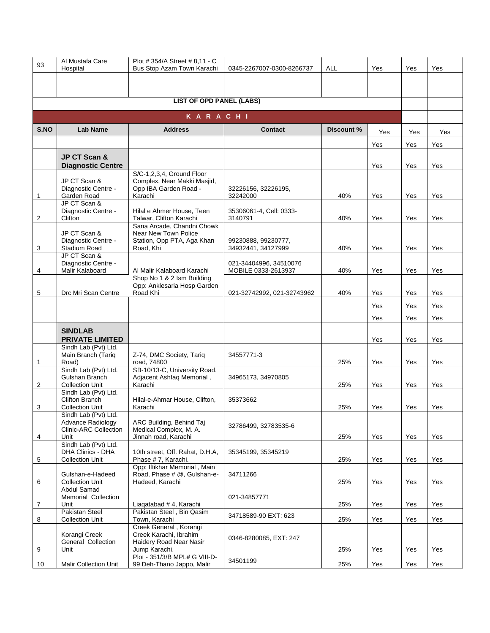| 93             | Al Mustafa Care<br>Hospital                                                       | Plot #354/A Street #8.11 - C<br>Bus Stop Azam Town Karachi                                    | 0345-2267007-0300-8266737                     | ALL        | Yes | Yes | Yes |
|----------------|-----------------------------------------------------------------------------------|-----------------------------------------------------------------------------------------------|-----------------------------------------------|------------|-----|-----|-----|
|                |                                                                                   |                                                                                               |                                               |            |     |     |     |
|                |                                                                                   |                                                                                               |                                               |            |     |     |     |
|                |                                                                                   | <b>LIST OF OPD PANEL (LABS)</b>                                                               |                                               |            |     |     |     |
|                |                                                                                   | <b>KARACHI</b>                                                                                |                                               |            |     |     |     |
| S.NO           | <b>Lab Name</b>                                                                   | <b>Address</b>                                                                                | <b>Contact</b>                                | Discount % | Yes | Yes | Yes |
|                |                                                                                   |                                                                                               |                                               |            | Yes | Yes | Yes |
|                | <b>JP CT Scan &amp;</b><br><b>Diagnostic Centre</b>                               |                                                                                               |                                               |            | Yes | Yes | Yes |
| 1              | JP CT Scan &<br>Diagnostic Centre -<br>Garden Road                                | S/C-1,2,3,4, Ground Floor<br>Complex, Near Makki Masjid,<br>Opp IBA Garden Road -<br>Karachi  | 32226156, 32226195,<br>32242000               | 40%        | Yes | Yes | Yes |
| 2              | JP CT Scan &<br>Diagnostic Centre -<br>Clifton                                    | Hilal e Ahmer House, Teen<br>Talwar, Clifton Karachi                                          | 35306061-4, Cell: 0333-<br>3140791            | 40%        | Yes | Yes | Yes |
| 3              | JP CT Scan &<br>Diagnostic Centre -<br>Stadium Road                               | Sana Arcade, Chandni Chowk<br>Near New Town Police<br>Station, Opp PTA, Aga Khan<br>Road, Khi | 99230888, 99230777,<br>34932441, 34127999     | 40%        | Yes | Yes | Yes |
| 4              | JP CT Scan &<br>Diagnostic Centre -<br>Malir Kalaboard                            | Al Malir Kalaboard Karachi                                                                    | 021-34404996, 34510076<br>MOBILE 0333-2613937 | 40%        | Yes | Yes | Yes |
| 5              | Drc Mri Scan Centre                                                               | Shop No 1 & 2 Ism Building<br>Opp: Anklesaria Hosp Garden<br>Road Khi                         | 021-32742992, 021-32743962                    | 40%        | Yes | Yes | Yes |
|                |                                                                                   |                                                                                               |                                               |            | Yes | Yes | Yes |
|                |                                                                                   |                                                                                               |                                               |            | Yes | Yes | Yes |
|                | <b>SINDLAB</b><br><b>PRIVATE LIMITED</b>                                          |                                                                                               |                                               |            | Yes | Yes | Yes |
| 1              | Sindh Lab (Pvt) Ltd.<br>Main Branch (Tariq<br>Road)                               | Z-74, DMC Society, Tariq<br>road, 74800                                                       | 34557771-3                                    | 25%        | Yes | Yes | Yes |
| $\overline{c}$ | Sindh Lab (Pvt) Ltd.<br>Gulshan Branch<br><b>Collection Unit</b>                  | SB-10/13-C, University Road,<br>Adjacent Ashfaq Memorial,<br>Karachi                          | 34965173, 34970805                            | 25%        | Yes | Yes | Yes |
| 3              | Sindh Lab (Pvt) Ltd.<br>Clifton Branch<br><b>Collection Unit</b>                  | Hilal-e-Ahmar House, Clifton,<br>Karachi                                                      | 35373662                                      | 25%        | Yes | Yes | Yes |
| 4              | Sindh Lab (Pvt) Ltd.<br>Advance Radiology<br><b>Clinic-ARC Collection</b><br>Unit | ARC Building, Behind Taj<br>Medical Complex, M. A.<br>Jinnah road, Karachi                    | 32786499, 32783535-6                          | 25%        | Yes | Yes | Yes |
| 5              | Sindh Lab (Pvt) Ltd.<br><b>DHA Clinics - DHA</b><br><b>Collection Unit</b>        | 10th street, Off. Rahat, D.H.A.<br>Phase #7, Karachi.                                         | 35345199, 35345219                            | 25%        | Yes | Yes | Yes |
| 6              | Gulshan-e-Hadeed<br><b>Collection Unit</b>                                        | Opp: Iftikhar Memorial, Main<br>Road, Phase # @, Gulshan-e-<br>Hadeed, Karachi                | 34711266                                      | 25%        | Yes | Yes | Yes |
| 7              | Abdul Samad<br>Memorial Collection<br>Unit                                        | Liagatabad # 4, Karachi                                                                       | 021-34857771                                  | 25%        | Yes | Yes | Yes |
| 8              | <b>Pakistan Steel</b><br><b>Collection Unit</b>                                   | Pakistan Steel, Bin Qasim<br>Town, Karachi                                                    | 34718589-90 EXT: 623                          | 25%        | Yes | Yes | Yes |
| 9              | Korangi Creek<br>General Collection<br>Unit                                       | Creek General, Korangi<br>Creek Karachi, Ibrahim<br>Haidery Road Near Nasir<br>Jump Karachi.  | 0346-8280085, EXT: 247                        | 25%        | Yes | Yes | Yes |
| 10             | <b>Malir Collection Unit</b>                                                      | Plot - 351/3/B MPL# G VIII-D-<br>99 Deh-Thano Jappo, Malir                                    | 34501199                                      | 25%        | Yes | Yes | Yes |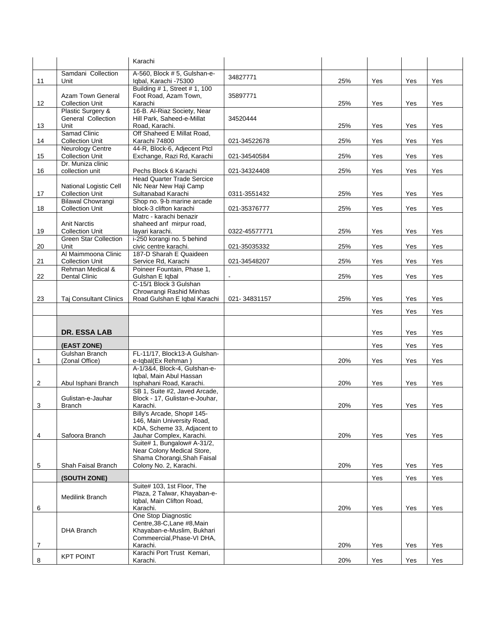|    |                                                  | Karachi                                                   |               |     |     |     |     |
|----|--------------------------------------------------|-----------------------------------------------------------|---------------|-----|-----|-----|-----|
|    | Samdani Collection                               | A-560, Block #5, Gulshan-e-                               | 34827771      |     |     |     |     |
| 11 | Unit                                             | Iqbal, Karachi -75300                                     |               | 25% | Yes | Yes | Yes |
|    | <b>Azam Town General</b>                         | Building # 1, Street # 1, 100<br>Foot Road, Azam Town,    | 35897771      |     |     |     |     |
| 12 | <b>Collection Unit</b>                           | Karachi                                                   |               | 25% | Yes | Yes | Yes |
|    | Plastic Surgery &<br>General Collection          | 16-B. Al-Riaz Society, Near<br>Hill Park, Saheed-e-Millat |               |     |     |     |     |
| 13 | Unit                                             | Road, Karachi.                                            | 34520444      | 25% | Yes | Yes | Yes |
|    | Samad Clinic                                     | Off Shaheed E Millat Road,                                |               |     |     |     |     |
| 14 | <b>Collection Unit</b>                           | Karachi 74800<br>44-R, Block-6, Adjecent Ptcl             | 021-34522678  | 25% | Yes | Yes | Yes |
| 15 | Neurology Centre<br><b>Collection Unit</b>       | Exchange, Razi Rd, Karachi                                | 021-34540584  | 25% | Yes | Yes | Yes |
| 16 | Dr. Muniza clinic<br>collection unit             | Pechs Block 6 Karachi                                     | 021-34324408  | 25% | Yes | Yes | Yes |
|    |                                                  | <b>Head Quarter Trade Sercice</b>                         |               |     |     |     |     |
| 17 | National Logistic Cell<br><b>Collection Unit</b> | NIc Near New Haji Camp<br>Sultanabad Karachi              | 0311-3551432  | 25% | Yes | Yes | Yes |
|    | <b>Bilawal Chowrangi</b>                         | Shop no. 9-b marine arcade                                |               |     |     |     |     |
| 18 | <b>Collection Unit</b>                           | block-3 clifton karachi                                   | 021-35376777  | 25% | Yes | Yes | Yes |
|    | <b>Anit Narctis</b>                              | Matrc - karachi benazir<br>shaheed anf mirpur road,       |               |     |     |     |     |
| 19 | <b>Collection Unit</b>                           | layari karachi.                                           | 0322-45577771 | 25% | Yes | Yes | Yes |
|    | <b>Green Star Collection</b>                     | i-250 korangi no. 5 behind                                |               |     |     |     |     |
| 20 | Unit<br>Al Maimmoona Clinic                      | civic centre karachi.<br>187-D Sharah E Quaideen          | 021-35035332  | 25% | Yes | Yes | Yes |
| 21 | <b>Collection Unit</b>                           | Service Rd, Karachi                                       | 021-34548207  | 25% | Yes | Yes | Yes |
|    | Rehman Medical &                                 | Poineer Fountain, Phase 1,                                |               |     |     |     |     |
| 22 | <b>Dental Clinic</b>                             | Gulshan E Iqbal<br>C-15/1 Block 3 Gulshan                 |               | 25% | Yes | Yes | Yes |
|    |                                                  | Chrowrangi Rashid Minhas                                  |               |     |     |     |     |
| 23 | <b>Taj Consultant Clinics</b>                    | Road Gulshan E Iqbal Karachi                              | 021-34831157  | 25% | Yes | Yes | Yes |
|    |                                                  |                                                           |               |     | Yes | Yes | Yes |
|    |                                                  |                                                           |               |     |     |     |     |
|    | <b>DR. ESSA LAB</b>                              |                                                           |               |     | Yes | Yes | Yes |
|    | (EAST ZONE)                                      |                                                           |               |     | Yes | Yes | Yes |
|    | Gulshan Branch                                   | FL-11/17, Block13-A Gulshan-                              |               |     |     |     |     |
| 1  | (Zonal Office)                                   | e-Iqbal(Ex Rehman)                                        |               | 20% | Yes | Yes | Yes |
|    |                                                  | A-1/3&4, Block-4, Gulshan-e-<br>Igbal, Main Abul Hassan   |               |     |     |     |     |
| 2  |                                                  |                                                           |               |     |     |     |     |
|    | Abul Isphani Branch                              | Isphahani Road, Karachi.                                  |               | 20% | Yes | Yes | Yes |
|    |                                                  | SB 1, Suite #2, Javed Arcade,                             |               |     |     |     |     |
| 3  | Gulistan-e-Jauhar<br>Branch                      | Block - 17, Gulistan-e-Jouhar,<br>Karachi.                |               | 20% | Yes | Yes | Yes |
|    |                                                  | Billy's Arcade, Shop# 145-                                |               |     |     |     |     |
|    |                                                  | 146, Main University Road,                                |               |     |     |     |     |
| 4  | Safoora Branch                                   | KDA, Scheme 33, Adjacent to<br>Jauhar Complex, Karachi.   |               | 20% | Yes | Yes | Yes |
|    |                                                  | Suite# 1, Bungalow# A-31/2,                               |               |     |     |     |     |
|    |                                                  | Near Colony Medical Store,                                |               |     |     |     |     |
| 5  | Shah Faisal Branch                               | Shama Chorangi, Shah Faisal<br>Colony No. 2, Karachi.     |               | 20% | Yes | Yes | Yes |
|    |                                                  |                                                           |               |     |     |     |     |
|    | (SOUTH ZONE)                                     | Suite# 103, 1st Floor, The                                |               |     | Yes | Yes | Yes |
|    | Medilink Branch                                  | Plaza, 2 Talwar, Khayaban-e-                              |               |     |     |     |     |
| 6  |                                                  | Igbal, Main Clifton Road,<br>Karachi.                     |               | 20% | Yes | Yes | Yes |
|    |                                                  | One Stop Diagnostic                                       |               |     |     |     |     |
|    |                                                  | Centre, 38-C, Lane #8, Main                               |               |     |     |     |     |
|    | DHA Branch                                       | Khayaban-e-Muslim, Bukhari<br>Commeercial, Phase-VI DHA,  |               |     |     |     |     |
| 7  |                                                  | Karachi.<br>Karachi Port Trust Kemari,                    |               | 20% | Yes | Yes | Yes |